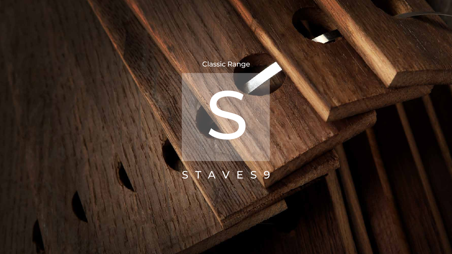## Classic Range

Charles R.

## STAVES9